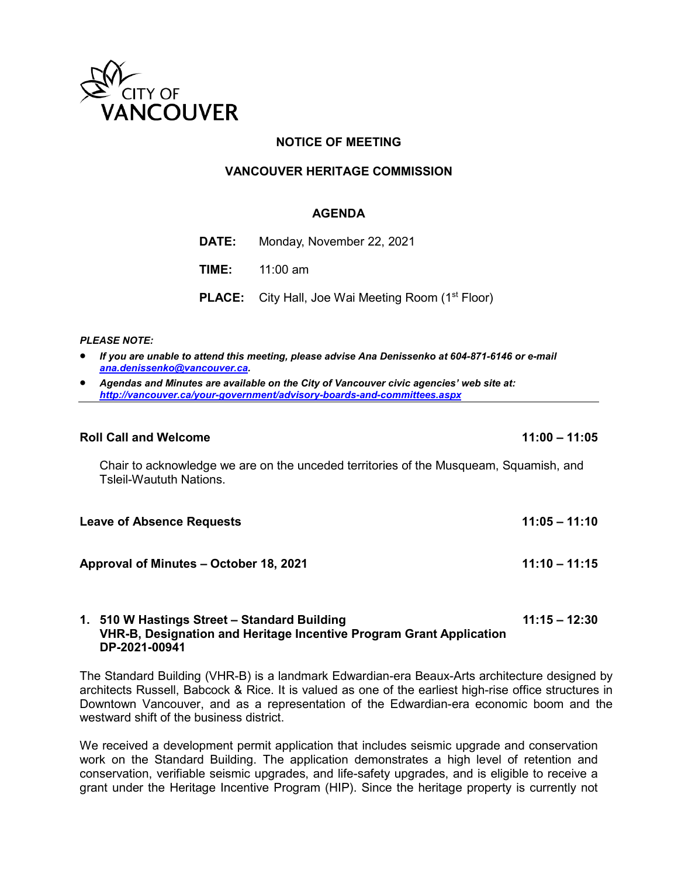

# **NOTICE OF MEETING**

### **VANCOUVER HERITAGE COMMISSION**

### **AGENDA**

| <b>DATE:</b> Monday, November 22, 2021                                |
|-----------------------------------------------------------------------|
| <b>TIME:</b> 11:00 am                                                 |
| <b>PLACE:</b> City Hall, Joe Wai Meeting Room (1 <sup>st</sup> Floor) |

#### *PLEASE NOTE:*

- *If you are unable to attend this meeting, please advise Ana Denissenko at 604-871-6146 or e-mail [ana.denissenko@vancouver.ca.](mailto:ana.denissenko@vancouver.ca)*
- *Agendas and Minutes are available on the City of Vancouver civic agencies' web site at: <http://vancouver.ca/your-government/advisory-boards-and-committees.aspx>*

#### **Roll Call and Welcome 11:00 – 11:05**

Chair to acknowledge we are on the unceded territories of the Musqueam, Squamish, and Tsleil-Waututh Nations.

| <b>Leave of Absence Requests</b>       | $11:05 - 11:10$ |
|----------------------------------------|-----------------|
| Approval of Minutes – October 18, 2021 | $11:10 - 11:15$ |

### **1. 510 W Hastings Street – Standard Building 11:15 – 12:30 VHR-B, Designation and Heritage Incentive Program Grant Application DP-2021-00941**

The Standard Building (VHR-B) is a landmark Edwardian-era Beaux-Arts architecture designed by architects Russell, Babcock & Rice. It is valued as one of the earliest high-rise office structures in Downtown Vancouver, and as a representation of the Edwardian-era economic boom and the westward shift of the business district.

We received a development permit application that includes seismic upgrade and conservation work on the Standard Building. The application demonstrates a high level of retention and conservation, verifiable seismic upgrades, and life-safety upgrades, and is eligible to receive a grant under the Heritage Incentive Program (HIP). Since the heritage property is currently not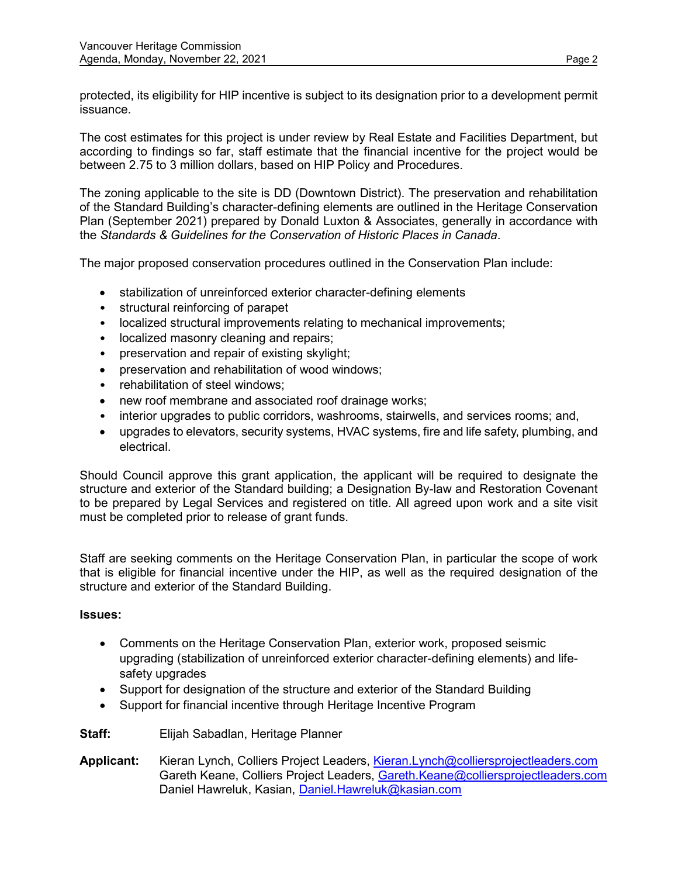protected, its eligibility for HIP incentive is subject to its designation prior to a development permit issuance.

The cost estimates for this project is under review by Real Estate and Facilities Department, but according to findings so far, staff estimate that the financial incentive for the project would be between 2.75 to 3 million dollars, based on HIP Policy and Procedures.

The zoning applicable to the site is DD (Downtown District). The preservation and rehabilitation of the Standard Building's character-defining elements are outlined in the Heritage Conservation Plan (September 2021) prepared by Donald Luxton & Associates, generally in accordance with the *Standards & Guidelines for the Conservation of Historic Places in Canada*.

The major proposed conservation procedures outlined in the Conservation Plan include:

- stabilization of unreinforced exterior character-defining elements
- structural reinforcing of parapet
- localized structural improvements relating to mechanical improvements;
- localized masonry cleaning and repairs;
- preservation and repair of existing skylight;
- preservation and rehabilitation of wood windows;
- rehabilitation of steel windows;
- new roof membrane and associated roof drainage works;
- interior upgrades to public corridors, washrooms, stairwells, and services rooms; and,
- upgrades to elevators, security systems, HVAC systems, fire and life safety, plumbing, and electrical.

Should Council approve this grant application, the applicant will be required to designate the structure and exterior of the Standard building; a Designation By-law and Restoration Covenant to be prepared by Legal Services and registered on title. All agreed upon work and a site visit must be completed prior to release of grant funds.

Staff are seeking comments on the Heritage Conservation Plan, in particular the scope of work that is eligible for financial incentive under the HIP, as well as the required designation of the structure and exterior of the Standard Building.

#### **Issues:**

- Comments on the Heritage Conservation Plan, exterior work, proposed seismic upgrading (stabilization of unreinforced exterior character-defining elements) and lifesafety upgrades
- Support for designation of the structure and exterior of the Standard Building
- Support for financial incentive through Heritage Incentive Program
- **Staff:** Elijah Sabadlan, Heritage Planner
- Applicant: Kieran Lynch, Colliers Project Leaders, [Kieran.Lynch@colliersprojectleaders.com](mailto:Kieran.Lynch@colliersprojectleaders.com) Gareth Keane, Colliers Project Leaders, [Gareth.Keane@colliersprojectleaders.com](mailto:Gareth.Keane@colliersprojectleaders.com) Daniel Hawreluk, Kasian, [Daniel.Hawreluk@kasian.com](mailto:Daniel.Hawreluk@kasian.com)